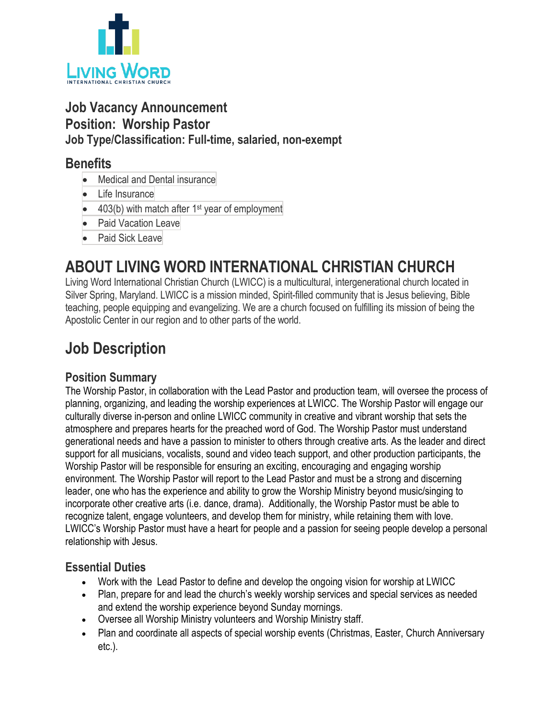

## **Job Vacancy Announcement Position: Worship Pastor Job Type/Classification: Full-time, salaried, non-exempt**

### **Benefits**

- Medical and Dental insurance
- Life Insurance
- $\bullet$  403(b) with match after 1<sup>st</sup> year of employment
- Paid Vacation Leave
- Paid Sick Leave

# **ABOUT LIVING WORD INTERNATIONAL CHRISTIAN CHURCH**

Living Word International Christian Church (LWICC) is a multicultural, intergenerational church located in Silver Spring, Maryland. LWICC is a mission minded, Spirit-filled community that is Jesus believing, Bible teaching, people equipping and evangelizing. We are a church focused on fulfilling its mission of being the Apostolic Center in our region and to other parts of the world.

## **Job Description**

### **Position Summary**

The Worship Pastor, in collaboration with the Lead Pastor and production team, will oversee the process of planning, organizing, and leading the worship experiences at LWICC. The Worship Pastor will engage our culturally diverse in-person and online LWICC community in creative and vibrant worship that sets the atmosphere and prepares hearts for the preached word of God. The Worship Pastor must understand generational needs and have a passion to minister to others through creative arts. As the leader and direct support for all musicians, vocalists, sound and video teach support, and other production participants, the Worship Pastor will be responsible for ensuring an exciting, encouraging and engaging worship environment. The Worship Pastor will report to the Lead Pastor and must be a strong and discerning leader, one who has the experience and ability to grow the Worship Ministry beyond music/singing to incorporate other creative arts (i.e. dance, drama). Additionally, the Worship Pastor must be able to recognize talent, engage volunteers, and develop them for ministry, while retaining them with love. LWICC's Worship Pastor must have a heart for people and a passion for seeing people develop a personal relationship with Jesus.

### **Essential Duties**

- Work with the Lead Pastor to define and develop the ongoing vision for worship at LWICC
- Plan, prepare for and lead the church's weekly worship services and special services as needed and extend the worship experience beyond Sunday mornings.
- Oversee all Worship Ministry volunteers and Worship Ministry staff.
- Plan and coordinate all aspects of special worship events (Christmas, Easter, Church Anniversary etc.).